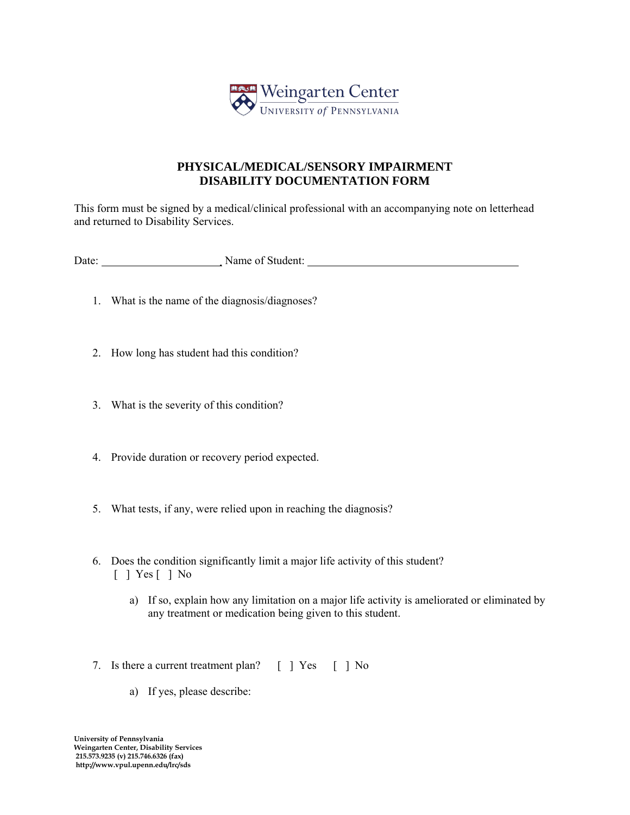

## **PHYSICAL/MEDICAL/SENSORY IMPAIRMENT DISABILITY DOCUMENTATION FORM**

This form must be signed by a medical/clinical professional with an accompanying note on letterhead and returned to Disability Services.

Date: Name of Student:

- 1. What is the name of the diagnosis/diagnoses?
- 2. How long has student had this condition?
- 3. What is the severity of this condition?
- 4. Provide duration or recovery period expected.
- 5. What tests, if any, were relied upon in reaching the diagnosis?
- 6. Does the condition significantly limit a major life activity of this student? [ ] Yes [ ] No
	- a) If so, explain how any limitation on a major life activity is ameliorated or eliminated by any treatment or medication being given to this student.
- 7. Is there a current treatment plan? [ ] Yes [ ] No
	- a) If yes, please describe: